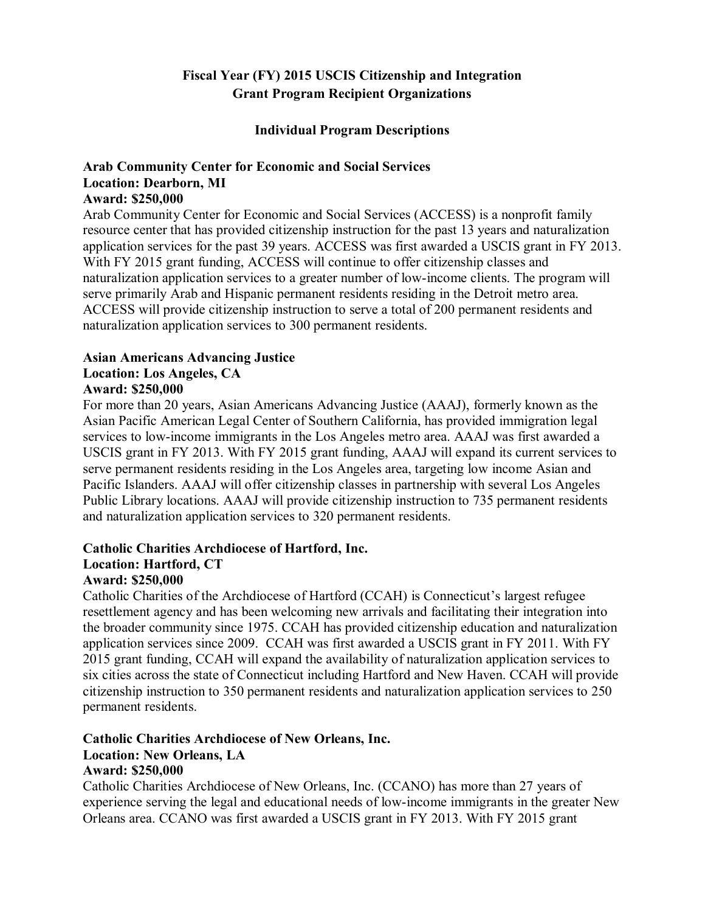## **Fiscal Year (FY) 2015 USCIS Citizenship and Integration Grant Program Recipient Organizations**

### **Individual Program Descriptions**

# **Arab Community Center for Economic and Social Services Location: Dearborn, MI**

### **Award: \$250,000**

Arab Community Center for Economic and Social Services (ACCESS) is a nonprofit family resource center that has provided citizenship instruction for the past 13 years and naturalization application services for the past 39 years. ACCESS was first awarded a USCIS grant in FY 2013. With FY 2015 grant funding, ACCESS will continue to offer citizenship classes and naturalization application services to a greater number of low-income clients. The program will serve primarily Arab and Hispanic permanent residents residing in the Detroit metro area. ACCESS will provide citizenship instruction to serve a total of 200 permanent residents and naturalization application services to 300 permanent residents.

### **Asian Americans Advancing Justice Location: Los Angeles, CA**

# **Award: \$250,000**

For more than 20 years, Asian Americans Advancing Justice (AAAJ), formerly known as the Asian Pacific American Legal Center of Southern California, has provided immigration legal services to low-income immigrants in the Los Angeles metro area. AAAJ was first awarded a USCIS grant in FY 2013. With FY 2015 grant funding, AAAJ will expand its current services to serve permanent residents residing in the Los Angeles area, targeting low income Asian and Pacific Islanders. AAAJ will offer citizenship classes in partnership with several Los Angeles Public Library locations. AAAJ will provide citizenship instruction to 735 permanent residents and naturalization application services to 320 permanent residents.

### **Catholic Charities Archdiocese of Hartford, Inc. Location: Hartford, CT Award: \$250,000**

### Catholic Charities of the Archdiocese of Hartford (CCAH) is Connecticut's largest refugee resettlement agency and has been welcoming new arrivals and facilitating their integration into the broader community since 1975. CCAH has provided citizenship education and naturalization application services since 2009. CCAH was first awarded a USCIS grant in FY 2011. With FY 2015 grant funding, CCAH will expand the availability of naturalization application services to six cities across the state of Connecticut including Hartford and New Haven. CCAH will provide citizenship instruction to 350 permanent residents and naturalization application services to 250 permanent residents.

### **Catholic Charities Archdiocese of New Orleans, Inc. Location: New Orleans, LA Award: \$250,000**

Catholic Charities Archdiocese of New Orleans, Inc. (CCANO) has more than 27 years of experience serving the legal and educational needs of low-income immigrants in the greater New Orleans area. CCANO was first awarded a USCIS grant in FY 2013. With FY 2015 grant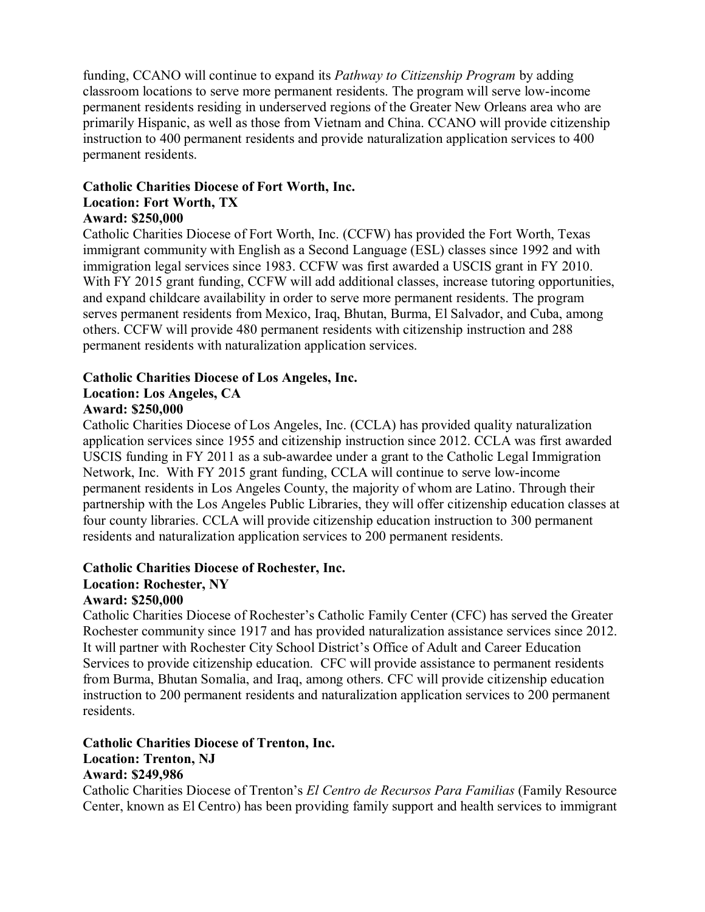funding, CCANO will continue to expand its *Pathway to Citizenship Program* by adding classroom locations to serve more permanent residents. The program will serve low-income permanent residents residing in underserved regions of the Greater New Orleans area who are primarily Hispanic, as well as those from Vietnam and China. CCANO will provide citizenship instruction to 400 permanent residents and provide naturalization application services to 400 permanent residents.

### **Catholic Charities Diocese of Fort Worth, Inc. Location: Fort Worth, TX Award: \$250,000**

Catholic Charities Diocese of Fort Worth, Inc. (CCFW) has provided the Fort Worth, Texas immigrant community with English as a Second Language (ESL) classes since 1992 and with immigration legal services since 1983. CCFW was first awarded a USCIS grant in FY 2010. With FY 2015 grant funding, CCFW will add additional classes, increase tutoring opportunities, and expand childcare availability in order to serve more permanent residents. The program serves permanent residents from Mexico, Iraq, Bhutan, Burma, El Salvador, and Cuba, among others. CCFW will provide 480 permanent residents with citizenship instruction and 288 permanent residents with naturalization application services.

### **Catholic Charities Diocese of Los Angeles, Inc. Location: Los Angeles, CA**

### **Award: \$250,000**

Catholic Charities Diocese of Los Angeles, Inc. (CCLA) has provided quality naturalization application services since 1955 and citizenship instruction since 2012. CCLA was first awarded USCIS funding in FY 2011 as a sub-awardee under a grant to the Catholic Legal Immigration Network, Inc. With FY 2015 grant funding, CCLA will continue to serve low-income permanent residents in Los Angeles County, the majority of whom are Latino. Through their partnership with the Los Angeles Public Libraries, they will offer citizenship education classes at four county libraries. CCLA will provide citizenship education instruction to 300 permanent residents and naturalization application services to 200 permanent residents.

### **Catholic Charities Diocese of Rochester, Inc.**

## **Location: Rochester, NY**

### **Award: \$250,000**

Catholic Charities Diocese of Rochester's Catholic Family Center (CFC) has served the Greater Rochester community since 1917 and has provided naturalization assistance services since 2012. It will partner with Rochester City School District's Office of Adult and Career Education Services to provide citizenship education. CFC will provide assistance to permanent residents from Burma, Bhutan Somalia, and Iraq, among others. CFC will provide citizenship education instruction to 200 permanent residents and naturalization application services to 200 permanent residents.

### **Catholic Charities Diocese of Trenton, Inc. Location: Trenton, NJ Award: \$249,986**

Catholic Charities Diocese of Trenton's *El Centro de Recursos Para Familias* (Family Resource Center, known as El Centro) has been providing family support and health services to immigrant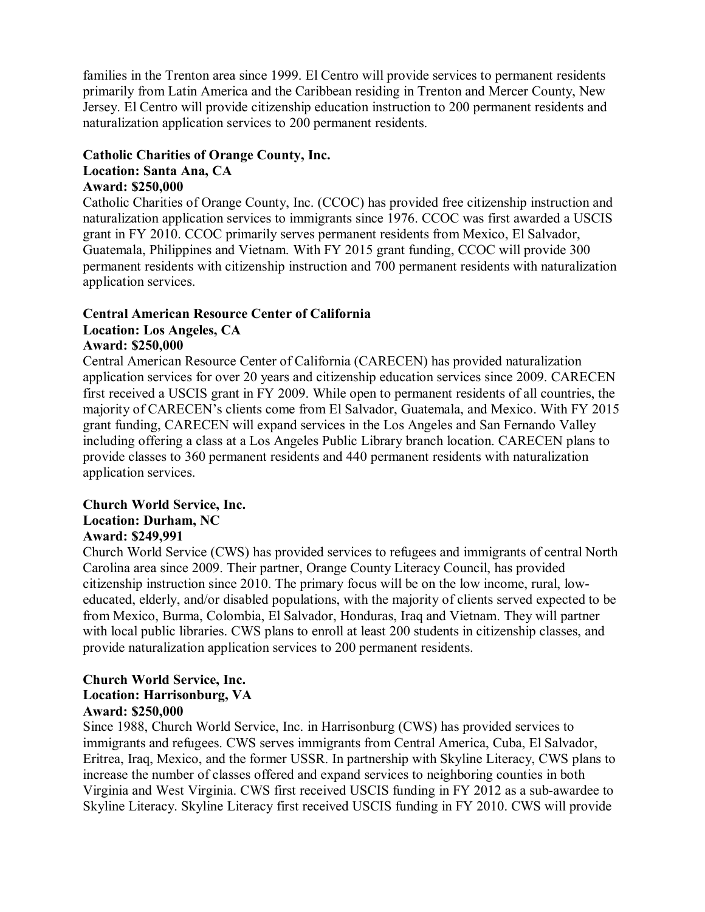families in the Trenton area since 1999. El Centro will provide services to permanent residents primarily from Latin America and the Caribbean residing in Trenton and Mercer County, New Jersey. El Centro will provide citizenship education instruction to 200 permanent residents and naturalization application services to 200 permanent residents.

### **Catholic Charities of Orange County, Inc. Location: Santa Ana, CA Award: \$250,000**

Catholic Charities of Orange County, Inc. (CCOC) has provided free citizenship instruction and naturalization application services to immigrants since 1976. CCOC was first awarded a USCIS grant in FY 2010. CCOC primarily serves permanent residents from Mexico, El Salvador, Guatemala, Philippines and Vietnam. With FY 2015 grant funding, CCOC will provide 300 permanent residents with citizenship instruction and 700 permanent residents with naturalization application services.

### **Central American Resource Center of California Location: Los Angeles, CA**

## **Award: \$250,000**

Central American Resource Center of California (CARECEN) has provided naturalization application services for over 20 years and citizenship education services since 2009. CARECEN first received a USCIS grant in FY 2009. While open to permanent residents of all countries, the majority of CARECEN's clients come from El Salvador, Guatemala, and Mexico. With FY 2015 grant funding, CARECEN will expand services in the Los Angeles and San Fernando Valley including offering a class at a Los Angeles Public Library branch location. CARECEN plans to provide classes to 360 permanent residents and 440 permanent residents with naturalization application services.

## **Church World Service, Inc. Location: Durham, NC**

### **Award: \$249,991**

Church World Service (CWS) has provided services to refugees and immigrants of central North Carolina area since 2009. Their partner, Orange County Literacy Council, has provided citizenship instruction since 2010. The primary focus will be on the low income, rural, loweducated, elderly, and/or disabled populations, with the majority of clients served expected to be from Mexico, Burma, Colombia, El Salvador, Honduras, Iraq and Vietnam. They will partner with local public libraries. CWS plans to enroll at least 200 students in citizenship classes, and provide naturalization application services to 200 permanent residents.

#### **Church World Service, Inc. Location: Harrisonburg, VA Award: \$250,000**

Since 1988, Church World Service, Inc. in Harrisonburg (CWS) has provided services to immigrants and refugees. CWS serves immigrants from Central America, Cuba, El Salvador, Eritrea, Iraq, Mexico, and the former USSR. In partnership with Skyline Literacy, CWS plans to increase the number of classes offered and expand services to neighboring counties in both Virginia and West Virginia. CWS first received USCIS funding in FY 2012 as a sub-awardee to Skyline Literacy. Skyline Literacy first received USCIS funding in FY 2010. CWS will provide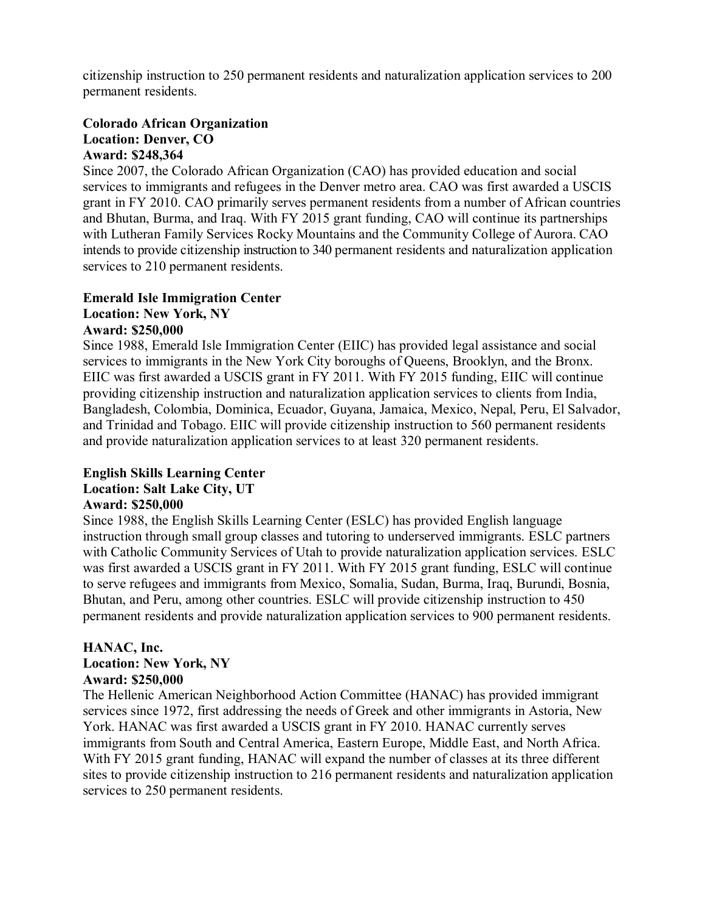citizenship instruction to 250 permanent residents and naturalization application services to 200 permanent residents.

### **Colorado African Organization Location: Denver, CO Award: \$248,364**

Since 2007, the Colorado African Organization (CAO) has provided education and social services to immigrants and refugees in the Denver metro area. CAO was first awarded a USCIS grant in FY 2010. CAO primarily serves permanent residents from a number of African countries and Bhutan, Burma, and Iraq. With FY 2015 grant funding, CAO will continue its partnerships with Lutheran Family Services Rocky Mountains and the Community College of Aurora. CAO intends to provide citizenship instruction to 340 permanent residents and naturalization application services to 210 permanent residents.

# **Emerald Isle Immigration Center**

# **Location: New York, NY**

## **Award: \$250,000**

Since 1988, Emerald Isle Immigration Center (EIIC) has provided legal assistance and social services to immigrants in the New York City boroughs of Queens, Brooklyn, and the Bronx. EIIC was first awarded a USCIS grant in FY 2011. With FY 2015 funding, EIIC will continue providing citizenship instruction and naturalization application services to clients from India, Bangladesh, Colombia, Dominica, Ecuador, Guyana, Jamaica, Mexico, Nepal, Peru, El Salvador, and Trinidad and Tobago. EIIC will provide citizenship instruction to 560 permanent residents and provide naturalization application services to at least 320 permanent residents.

### **English Skills Learning Center Location: Salt Lake City, UT Award: \$250,000**

### Since 1988, the English Skills Learning Center (ESLC) has provided English language instruction through small group classes and tutoring to underserved immigrants. ESLC partners with Catholic Community Services of Utah to provide naturalization application services. ESLC was first awarded a USCIS grant in FY 2011. With FY 2015 grant funding, ESLC will continue to serve refugees and immigrants from Mexico, Somalia, Sudan, Burma, Iraq, Burundi, Bosnia, Bhutan, and Peru, among other countries. ESLC will provide citizenship instruction to 450 permanent residents and provide naturalization application services to 900 permanent residents.

### **HANAC, Inc. Location: New York, NY**

### **Award: \$250,000**

The Hellenic American Neighborhood Action Committee (HANAC) has provided immigrant services since 1972, first addressing the needs of Greek and other immigrants in Astoria, New York. HANAC was first awarded a USCIS grant in FY 2010. HANAC currently serves immigrants from South and Central America, Eastern Europe, Middle East, and North Africa. With FY 2015 grant funding, HANAC will expand the number of classes at its three different sites to provide citizenship instruction to 216 permanent residents and naturalization application services to 250 permanent residents.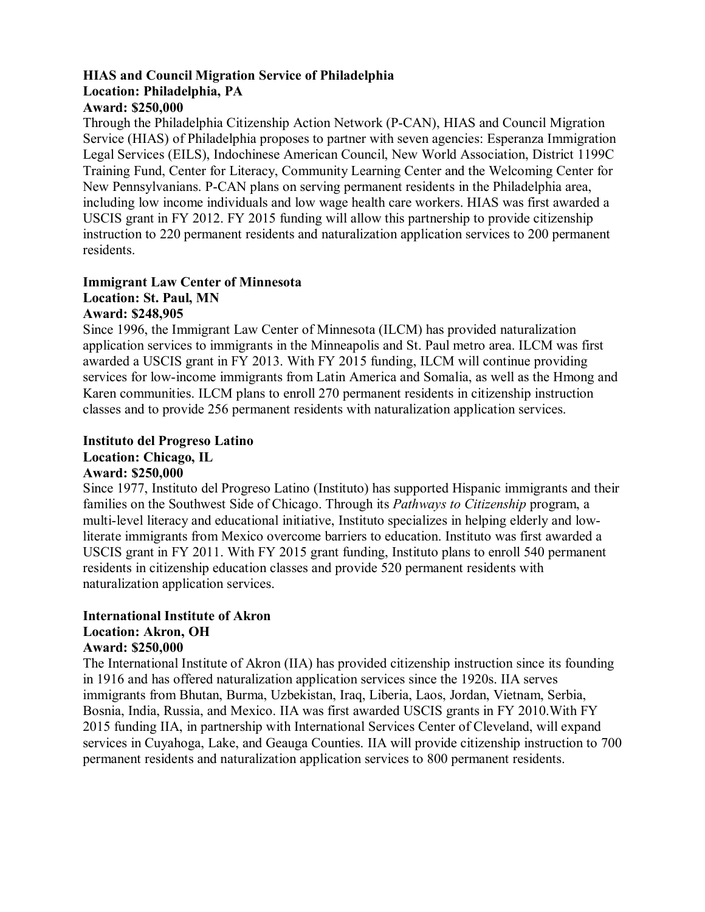# **HIAS and Council Migration Service of Philadelphia Location: Philadelphia, PA**

## **Award: \$250,000**

Through the Philadelphia Citizenship Action Network (P-CAN), HIAS and Council Migration Service (HIAS) of Philadelphia proposes to partner with seven agencies: Esperanza Immigration Legal Services (EILS), Indochinese American Council, New World Association, District 1199C Training Fund, Center for Literacy, Community Learning Center and the Welcoming Center for New Pennsylvanians. P-CAN plans on serving permanent residents in the Philadelphia area, including low income individuals and low wage health care workers. HIAS was first awarded a USCIS grant in FY 2012. FY 2015 funding will allow this partnership to provide citizenship instruction to 220 permanent residents and naturalization application services to 200 permanent residents.

### **Immigrant Law Center of Minnesota Location: St. Paul, MN Award: \$248,905**

Since 1996, the Immigrant Law Center of Minnesota (ILCM) has provided naturalization application services to immigrants in the Minneapolis and St. Paul metro area. ILCM was first awarded a USCIS grant in FY 2013. With FY 2015 funding, ILCM will continue providing services for low-income immigrants from Latin America and Somalia, as well as the Hmong and Karen communities. ILCM plans to enroll 270 permanent residents in citizenship instruction classes and to provide 256 permanent residents with naturalization application services.

### **Instituto del Progreso Latino Location: Chicago, IL**

### **Award: \$250,000**

Since 1977, Instituto del Progreso Latino (Instituto) has supported Hispanic immigrants and their families on the Southwest Side of Chicago. Through its *Pathways to Citizenship* program, a multi-level literacy and educational initiative, Instituto specializes in helping elderly and lowliterate immigrants from Mexico overcome barriers to education. Instituto was first awarded a USCIS grant in FY 2011. With FY 2015 grant funding, Instituto plans to enroll 540 permanent residents in citizenship education classes and provide 520 permanent residents with naturalization application services.

### **International Institute of Akron Location: Akron, OH Award: \$250,000**

The International Institute of Akron (IIA) has provided citizenship instruction since its founding in 1916 and has offered naturalization application services since the 1920s. IIA serves immigrants from Bhutan, Burma, Uzbekistan, Iraq, Liberia, Laos, Jordan, Vietnam, Serbia, Bosnia, India, Russia, and Mexico. IIA was first awarded USCIS grants in FY 2010.With FY 2015 funding IIA, in partnership with International Services Center of Cleveland, will expand services in Cuyahoga, Lake, and Geauga Counties. IIA will provide citizenship instruction to 700 permanent residents and naturalization application services to 800 permanent residents.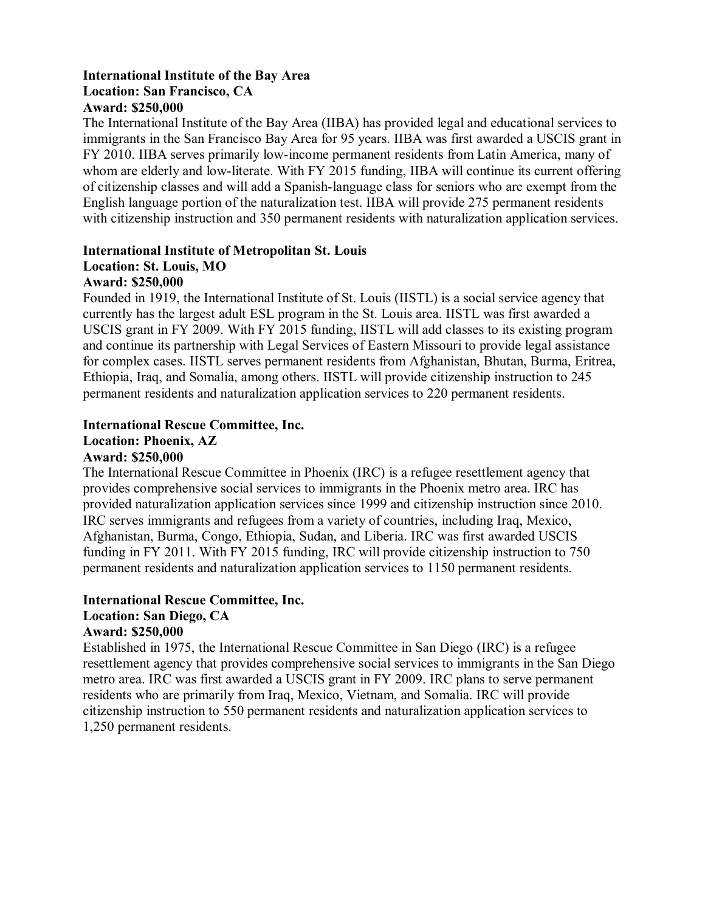### **International Institute of the Bay Area Location: San Francisco, CA Award: \$250,000**

The International Institute of the Bay Area (IIBA) has provided legal and educational services to immigrants in the San Francisco Bay Area for 95 years. IIBA was first awarded a USCIS grant in FY 2010. IIBA serves primarily low-income permanent residents from Latin America, many of whom are elderly and low-literate. With FY 2015 funding, IIBA will continue its current offering of citizenship classes and will add a Spanish-language class for seniors who are exempt from the English language portion of the naturalization test. IIBA will provide 275 permanent residents with citizenship instruction and 350 permanent residents with naturalization application services.

# **International Institute of Metropolitan St. Louis Location: St. Louis, MO**

### **Award: \$250,000**

Founded in 1919, the International Institute of St. Louis (IISTL) is a social service agency that currently has the largest adult ESL program in the St. Louis area. IISTL was first awarded a USCIS grant in FY 2009. With FY 2015 funding, IISTL will add classes to its existing program and continue its partnership with Legal Services of Eastern Missouri to provide legal assistance for complex cases. IISTL serves permanent residents from Afghanistan, Bhutan, Burma, Eritrea, Ethiopia, Iraq, and Somalia, among others. IISTL will provide citizenship instruction to 245 permanent residents and naturalization application services to 220 permanent residents.

## **International Rescue Committee, Inc.**

### **Location: Phoenix, AZ**

### **Award: \$250,000**

The International Rescue Committee in Phoenix (IRC) is a refugee resettlement agency that provides comprehensive social services to immigrants in the Phoenix metro area. IRC has provided naturalization application services since 1999 and citizenship instruction since 2010. IRC serves immigrants and refugees from a variety of countries, including Iraq, Mexico, Afghanistan, Burma, Congo, Ethiopia, Sudan, and Liberia. IRC was first awarded USCIS funding in FY 2011. With FY 2015 funding, IRC will provide citizenship instruction to 750 permanent residents and naturalization application services to 1150 permanent residents.

### **International Rescue Committee, Inc.**

### **Location: San Diego, CA**

### **Award: \$250,000**

Established in 1975, the International Rescue Committee in San Diego (IRC) is a refugee resettlement agency that provides comprehensive social services to immigrants in the San Diego metro area. IRC was first awarded a USCIS grant in FY 2009. IRC plans to serve permanent residents who are primarily from Iraq, Mexico, Vietnam, and Somalia. IRC will provide citizenship instruction to 550 permanent residents and naturalization application services to 1,250 permanent residents.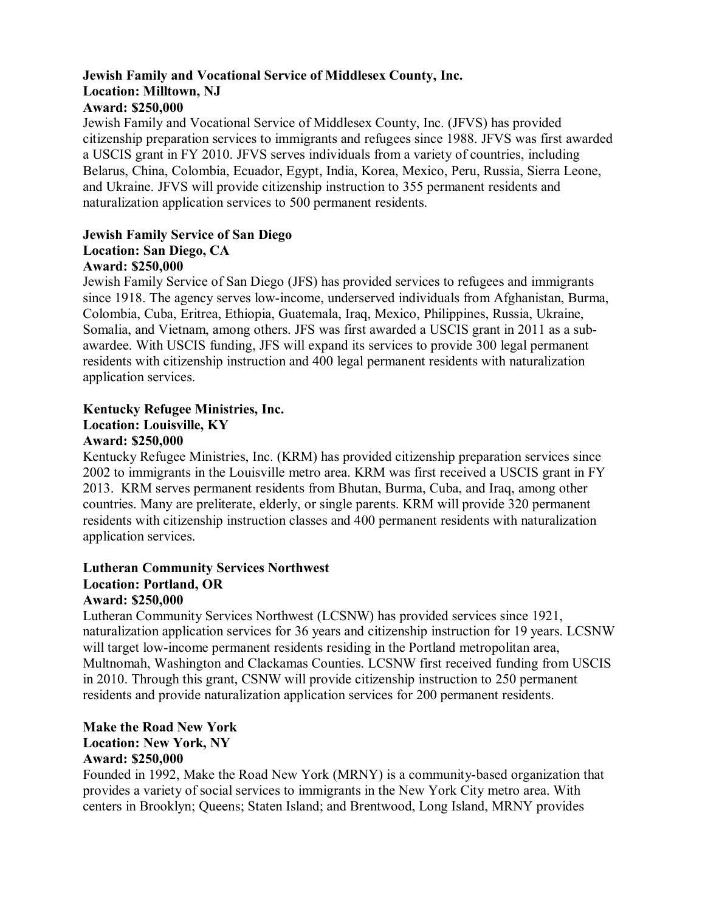# **Jewish Family and Vocational Service of Middlesex County, Inc. Location: Milltown, NJ**

## **Award: \$250,000**

Jewish Family and Vocational Service of Middlesex County, Inc. (JFVS) has provided citizenship preparation services to immigrants and refugees since 1988. JFVS was first awarded a USCIS grant in FY 2010. JFVS serves individuals from a variety of countries, including Belarus, China, Colombia, Ecuador, Egypt, India, Korea, Mexico, Peru, Russia, Sierra Leone, and Ukraine. JFVS will provide citizenship instruction to 355 permanent residents and naturalization application services to 500 permanent residents.

# **Jewish Family Service of San Diego Location: San Diego, CA**

### **Award: \$250,000**

Jewish Family Service of San Diego (JFS) has provided services to refugees and immigrants since 1918. The agency serves low-income, underserved individuals from Afghanistan, Burma, Colombia, Cuba, Eritrea, Ethiopia, Guatemala, Iraq, Mexico, Philippines, Russia, Ukraine, Somalia, and Vietnam, among others. JFS was first awarded a USCIS grant in 2011 as a subawardee. With USCIS funding, JFS will expand its services to provide 300 legal permanent residents with citizenship instruction and 400 legal permanent residents with naturalization application services.

### **Kentucky Refugee Ministries, Inc.**

# **Location: Louisville, KY**

### **Award: \$250,000**

Kentucky Refugee Ministries, Inc. (KRM) has provided citizenship preparation services since 2002 to immigrants in the Louisville metro area. KRM was first received a USCIS grant in FY 2013. KRM serves permanent residents from Bhutan, Burma, Cuba, and Iraq, among other countries. Many are preliterate, elderly, or single parents. KRM will provide 320 permanent residents with citizenship instruction classes and 400 permanent residents with naturalization application services.

### **Lutheran Community Services Northwest Location: Portland, OR Award: \$250,000**

Lutheran Community Services Northwest (LCSNW) has provided services since 1921, naturalization application services for 36 years and citizenship instruction for 19 years. LCSNW will target low-income permanent residents residing in the Portland metropolitan area, Multnomah, Washington and Clackamas Counties. LCSNW first received funding from USCIS in 2010. Through this grant, CSNW will provide citizenship instruction to 250 permanent residents and provide naturalization application services for 200 permanent residents.

### **Make the Road New York Location: New York, NY Award: \$250,000**

Founded in 1992, Make the Road New York (MRNY) is a community-based organization that provides a variety of social services to immigrants in the New York City metro area. With centers in Brooklyn; Queens; Staten Island; and Brentwood, Long Island, MRNY provides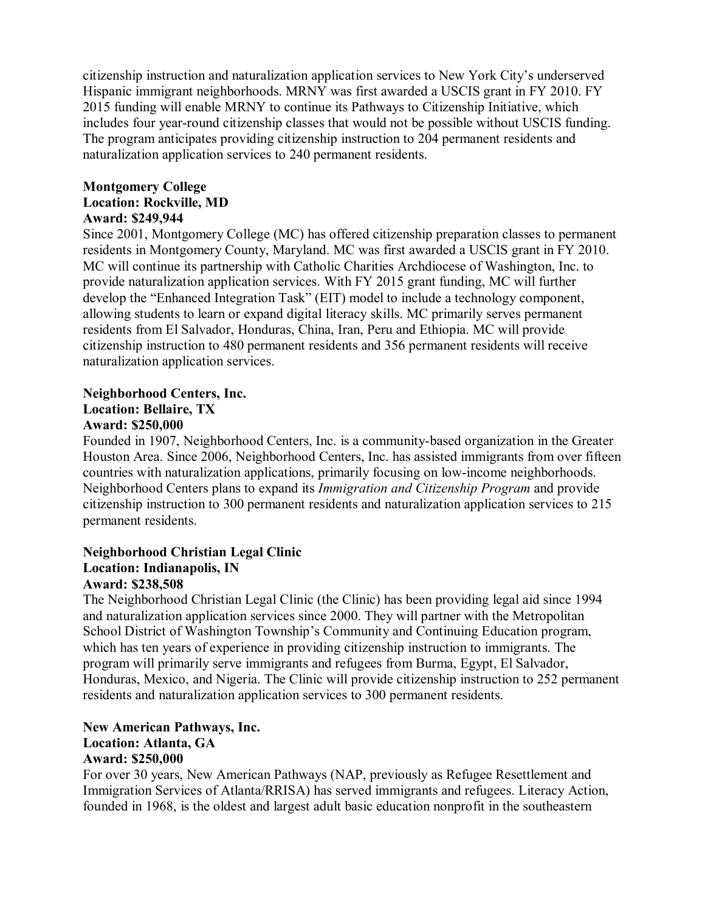citizenship instruction and naturalization application services to New York City's underserved Hispanic immigrant neighborhoods. MRNY was first awarded a USCIS grant in FY 2010. FY 2015 funding will enable MRNY to continue its Pathways to Citizenship Initiative, which includes four year-round citizenship classes that would not be possible without USCIS funding. The program anticipates providing citizenship instruction to 204 permanent residents and naturalization application services to 240 permanent residents.

#### **Montgomery College Location: Rockville, MD Award: \$249,944**

Since 2001, Montgomery College (MC) has offered citizenship preparation classes to permanent residents in Montgomery County, Maryland. MC was first awarded a USCIS grant in FY 2010. MC will continue its partnership with Catholic Charities Archdiocese of Washington, Inc. to provide naturalization application services. With FY 2015 grant funding, MC will further develop the "Enhanced Integration Task" (EIT) model to include a technology component, allowing students to learn or expand digital literacy skills. MC primarily serves permanent residents from El Salvador, Honduras, China, Iran, Peru and Ethiopia. MC will provide citizenship instruction to 480 permanent residents and 356 permanent residents will receive naturalization application services.

### **Neighborhood Centers, Inc. Location: Bellaire, TX Award: \$250,000**

Founded in 1907, Neighborhood Centers, Inc. is a community-based organization in the Greater Houston Area. Since 2006, Neighborhood Centers, Inc. has assisted immigrants from over fifteen countries with naturalization applications, primarily focusing on low-income neighborhoods. Neighborhood Centers plans to expand its *Immigration and Citizenship Program* and provide citizenship instruction to 300 permanent residents and naturalization application services to 215 permanent residents.

# **Neighborhood Christian Legal Clinic Location: Indianapolis, IN**

## **Award: \$238,508**

The Neighborhood Christian Legal Clinic (the Clinic) has been providing legal aid since 1994 and naturalization application services since 2000. They will partner with the Metropolitan School District of Washington Township's Community and Continuing Education program, which has ten years of experience in providing citizenship instruction to immigrants. The program will primarily serve immigrants and refugees from Burma, Egypt, El Salvador, Honduras, Mexico, and Nigeria. The Clinic will provide citizenship instruction to 252 permanent residents and naturalization application services to 300 permanent residents.

### **New American Pathways, Inc. Location: Atlanta, GA Award: \$250,000**

For over 30 years, New American Pathways (NAP, previously as Refugee Resettlement and Immigration Services of Atlanta/RRISA) has served immigrants and refugees. Literacy Action, founded in 1968, is the oldest and largest adult basic education nonprofit in the southeastern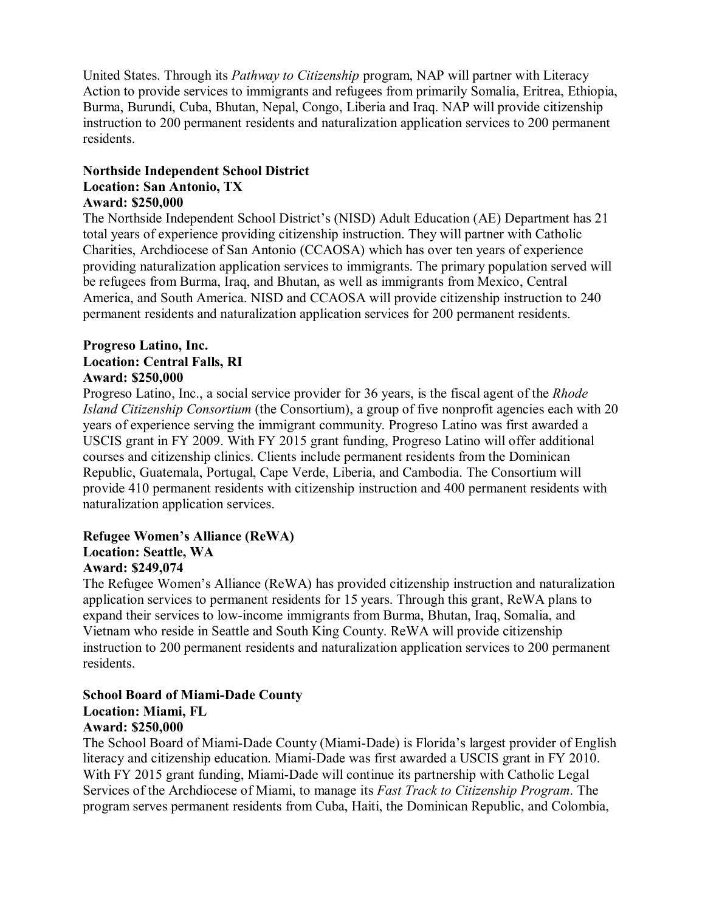United States. Through its *Pathway to Citizenship* program, NAP will partner with Literacy Action to provide services to immigrants and refugees from primarily Somalia, Eritrea, Ethiopia, Burma, Burundi, Cuba, Bhutan, Nepal, Congo, Liberia and Iraq. NAP will provide citizenship instruction to 200 permanent residents and naturalization application services to 200 permanent residents.

### **Northside Independent School District Location: San Antonio, TX Award: \$250,000**

The Northside Independent School District's (NISD) Adult Education (AE) Department has 21 total years of experience providing citizenship instruction. They will partner with Catholic Charities, Archdiocese of San Antonio (CCAOSA) which has over ten years of experience providing naturalization application services to immigrants. The primary population served will be refugees from Burma, Iraq, and Bhutan, as well as immigrants from Mexico, Central America, and South America. NISD and CCAOSA will provide citizenship instruction to 240 permanent residents and naturalization application services for 200 permanent residents.

### **Progreso Latino, Inc. Location: Central Falls, RI Award: \$250,000**

Progreso Latino, Inc., a social service provider for 36 years, is the fiscal agent of the *Rhode Island Citizenship Consortium* (the Consortium), a group of five nonprofit agencies each with 20 years of experience serving the immigrant community. Progreso Latino was first awarded a USCIS grant in FY 2009. With FY 2015 grant funding, Progreso Latino will offer additional courses and citizenship clinics. Clients include permanent residents from the Dominican Republic, Guatemala, Portugal, Cape Verde, Liberia, and Cambodia. The Consortium will provide 410 permanent residents with citizenship instruction and 400 permanent residents with naturalization application services.

### **Refugee Women's Alliance (ReWA) Location: Seattle, WA Award: \$249,074**

The Refugee Women's Alliance (ReWA) has provided citizenship instruction and naturalization application services to permanent residents for 15 years. Through this grant, ReWA plans to expand their services to low-income immigrants from Burma, Bhutan, Iraq, Somalia, and Vietnam who reside in Seattle and South King County. ReWA will provide citizenship instruction to 200 permanent residents and naturalization application services to 200 permanent residents.

## **School Board of Miami-Dade County**

## **Location: Miami, FL**

### **Award: \$250,000**

The School Board of Miami-Dade County (Miami-Dade) is Florida's largest provider of English literacy and citizenship education. Miami-Dade was first awarded a USCIS grant in FY 2010. With FY 2015 grant funding, Miami-Dade will continue its partnership with Catholic Legal Services of the Archdiocese of Miami, to manage its *Fast Track to Citizenship Program*. The program serves permanent residents from Cuba, Haiti, the Dominican Republic, and Colombia,